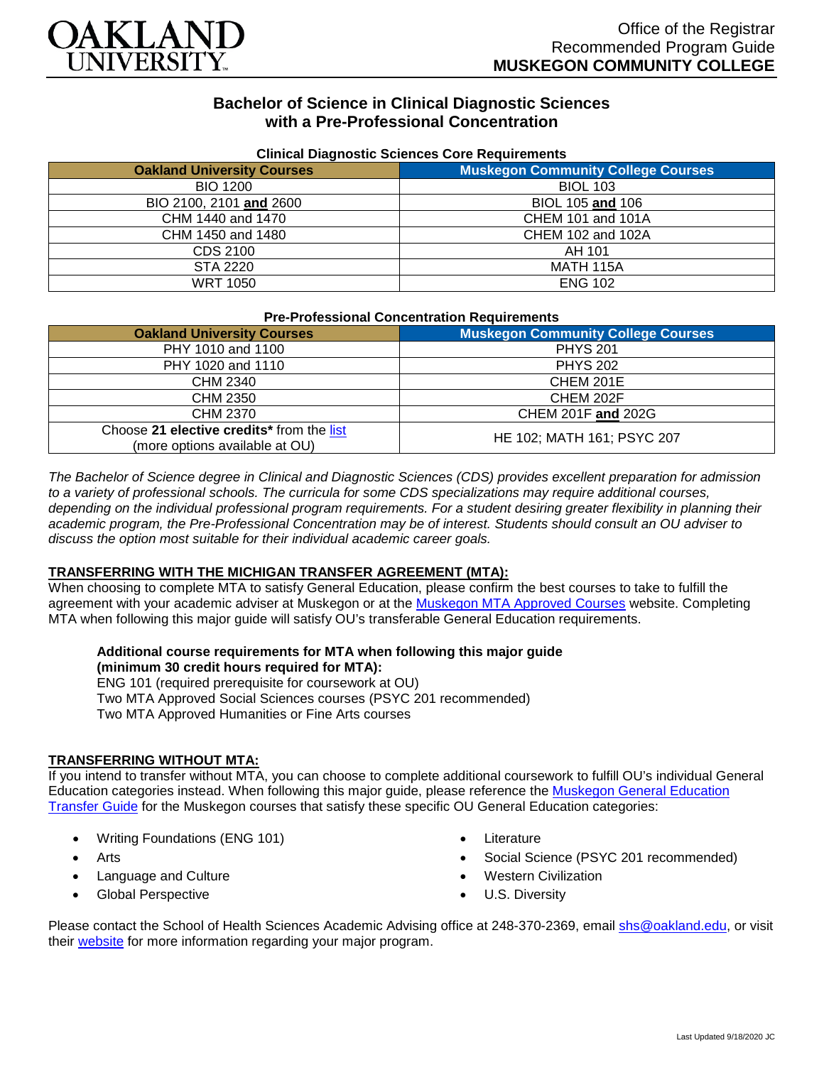

# **Bachelor of Science in Clinical Diagnostic Sciences with a Pre-Professional Concentration**

| <b>Uningle Diagnostic Ociences Core Requirements</b> |                                           |  |
|------------------------------------------------------|-------------------------------------------|--|
| <b>Oakland University Courses</b>                    | <b>Muskegon Community College Courses</b> |  |
| <b>BIO 1200</b>                                      | <b>BIOL 103</b>                           |  |
| BIO 2100, 2101 and 2600                              | BIOL 105 and 106                          |  |
| CHM 1440 and 1470                                    | <b>CHEM 101 and 101A</b>                  |  |
| CHM 1450 and 1480                                    | CHEM 102 and 102A                         |  |
| CDS 2100                                             | AH 101                                    |  |
| STA 2220                                             | <b>MATH 115A</b>                          |  |
| <b>WRT 1050</b>                                      | <b>ENG 102</b>                            |  |

### **Clinical Diagnostic Sciences Core Requirements**

| <b>Pre-Professional Concentration Requirements</b> |  |
|----------------------------------------------------|--|
|----------------------------------------------------|--|

| <b>Oakland University Courses</b>                                           | <b>Muskegon Community College Courses</b> |
|-----------------------------------------------------------------------------|-------------------------------------------|
| PHY 1010 and 1100                                                           | <b>PHYS 201</b>                           |
| PHY 1020 and 1110                                                           | <b>PHYS 202</b>                           |
| CHM 2340                                                                    | CHEM 201E                                 |
| CHM 2350                                                                    | CHEM 202F                                 |
| CHM 2370                                                                    | CHEM 201F and 202G                        |
| Choose 21 elective credits* from the list<br>(more options available at OU) | HE 102; MATH 161; PSYC 207                |

*The Bachelor of Science degree in Clinical and Diagnostic Sciences (CDS) provides excellent preparation for admission*  to a variety of professional schools. The curricula for some CDS specializations may require additional courses, depending on the individual professional program requirements. For a student desiring greater flexibility in planning their *academic program, the Pre-Professional Concentration may be of interest. Students should consult an OU adviser to discuss the option most suitable for their individual academic career goals.*

### **TRANSFERRING WITH THE MICHIGAN TRANSFER AGREEMENT (MTA):**

When choosing to complete MTA to satisfy General Education, please confirm the best courses to take to fulfill the agreement with your academic adviser at Muskegon or at the [Muskegon MTA Approved Courses](https://www.muskegoncc.edu/transferservices/michigan-transfer-agreement/) website. Completing MTA when following this major guide will satisfy OU's transferable General Education requirements.

#### **Additional course requirements for MTA when following this major guide (minimum 30 credit hours required for MTA):**

ENG 101 (required prerequisite for coursework at OU) Two MTA Approved Social Sciences courses (PSYC 201 recommended) Two MTA Approved Humanities or Fine Arts courses

### **TRANSFERRING WITHOUT MTA:**

If you intend to transfer without MTA, you can choose to complete additional coursework to fulfill OU's individual General Education categories instead. When following this major guide, please reference the [Muskegon General Education](https://www.oakland.edu/Assets/Oakland/program-guides/muskegon-community-college/university-general-education-requirements/Muskegon%20Gen%20Ed.pdf)  [Transfer Guide](https://www.oakland.edu/Assets/Oakland/program-guides/muskegon-community-college/university-general-education-requirements/Muskegon%20Gen%20Ed.pdf) for the Muskegon courses that satisfy these specific OU General Education categories:

- Writing Foundations (ENG 101)
- **Arts**
- Language and Culture
- Global Perspective
- **Literature**
- Social Science (PSYC 201 recommended)
- Western Civilization
- U.S. Diversity

Please contact the School of Health Sciences Academic Advising office at 248-370-2369, email [shs@oakland.edu,](mailto:shs@oakland.edu) or visit their [website](http://www.oakland.edu/shs/advising) for more information regarding your major program.